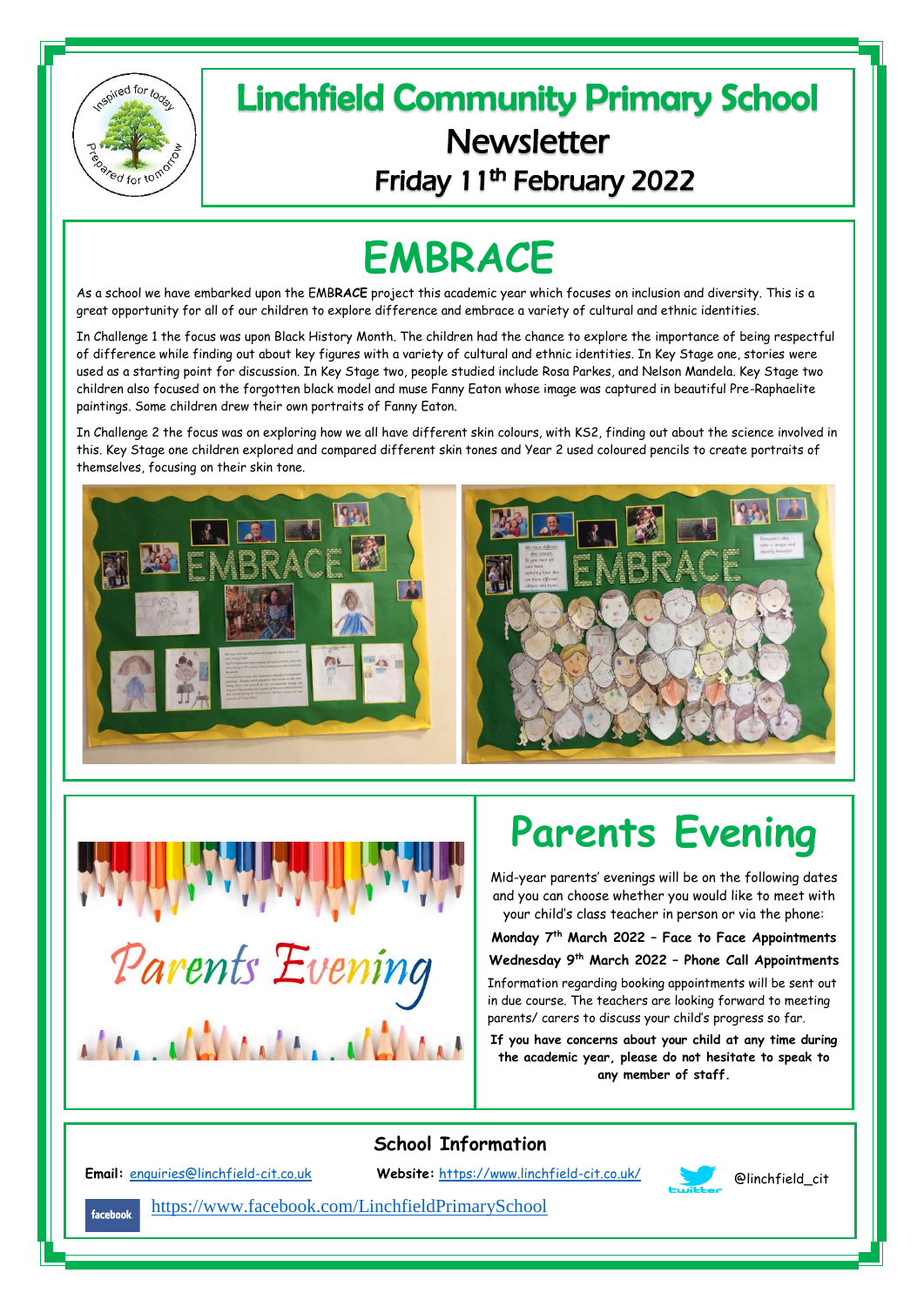

## **Linchfield Community Primary School Newsletter** Friday 11<sup>th</sup> February 2022

## **EMBRACE**

As a school we have embarked upon the EMB**RACE** project this academic year which focuses on inclusion and diversity. This is a great opportunity for all of our children to explore difference and embrace a variety of cultural and ethnic identities.

In Challenge 1 the focus was upon Black History Month. The children had the chance to explore the importance of being respectful of difference while finding out about key figures with a variety of cultural and ethnic identities. In Key Stage one, stories were used as a starting point for discussion. In Key Stage two, people studied include Rosa Parkes, and Nelson Mandela. Key Stage two children also focused on the forgotten black model and muse Fanny Eaton whose image was captured in beautiful Pre-Raphaelite paintings. Some children drew their own portraits of Fanny Eaton.

In Challenge 2 the focus was on exploring how we all have different skin colours, with KS2, finding out about the science involved in this. Key Stage one children explored and compared different skin tones and Year 2 used coloured pencils to create portraits of themselves, focusing on their skin tone.





## **Parents Evening**

Mid-year parents' evenings will be on the following dates and you can choose whether you would like to meet with your child's class teacher in person or via the phone:

**Monday 7 th March 2022 – Face to Face Appointments Wednesday 9th March 2022 – Phone Call Appointments** 

Information regarding booking appointments will be sent out in due course. The teachers are looking forward to meeting parents/ carers to discuss your child's progress so far.

**If you have concerns about your child at any time during the academic year, please do not hesitate to speak to any member of staff.**

**School Information**

Ϊ

**Email:** [enquiries@linchfield-cit.co.uk](mailto:enquiries@linchfield-cit.co.uk) **Website:** <https://www.linchfield-cit.co.uk/> @linchfield\_cit



<https://www.facebook.com/LinchfieldPrimarySchool> facebook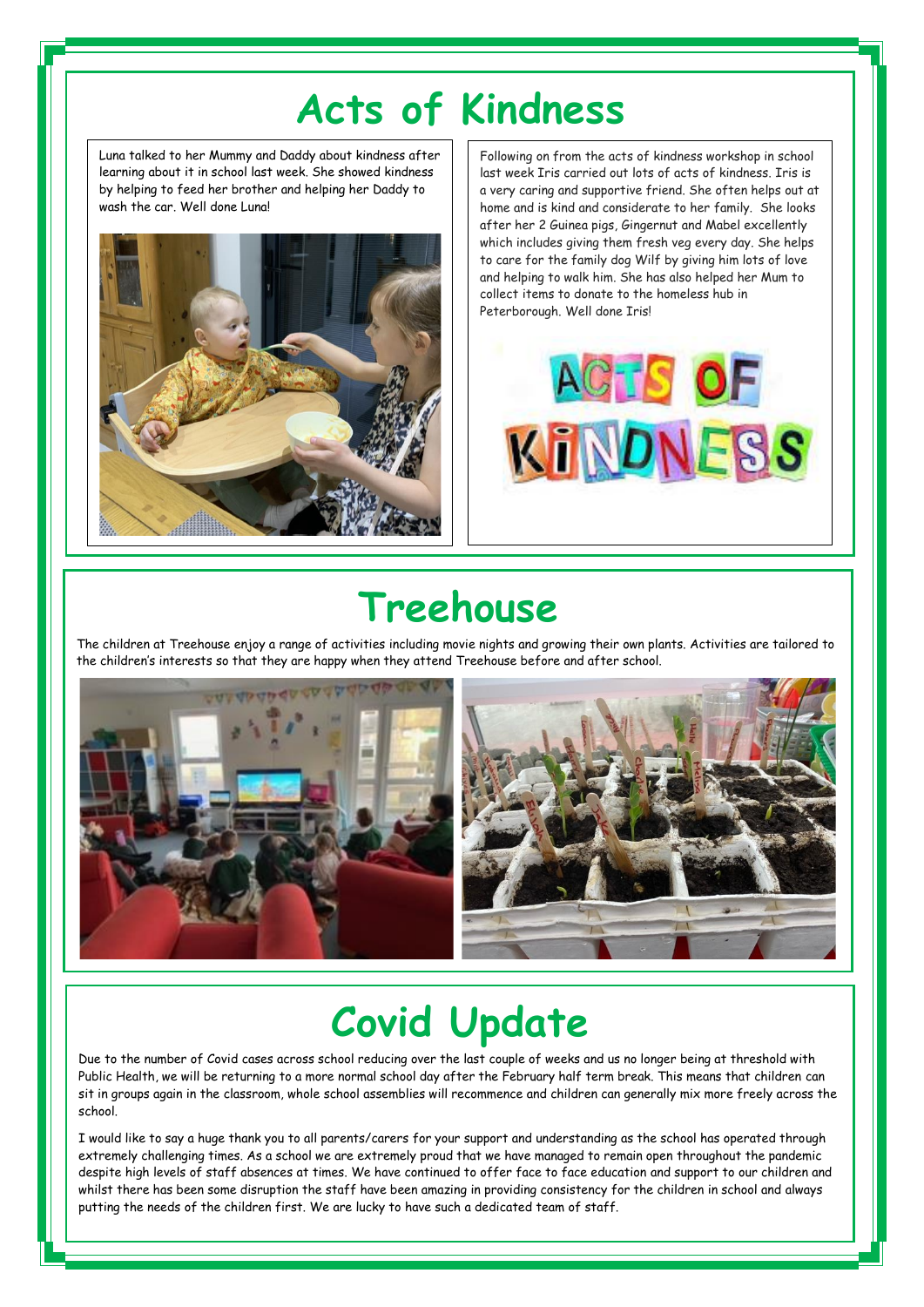## **Acts of Kindness**

Luna talked to her Mummy and Daddy about kindness after learning about it in school last week. She showed kindness by helping to feed her brother and helping her Daddy to wash the car. Well done Luna!

Ī

j



Following on from the acts of kindness workshop in school last week Iris carried out lots of acts of kindness. Iris is a very caring and supportive friend. She often helps out at home and is kind and considerate to her family. She looks after her 2 Guinea pigs, Gingernut and Mabel excellently which includes giving them fresh veg every day. She helps to care for the family dog Wilf by giving him lots of love and helping to walk him. She has also helped her Mum to collect items to donate to the homeless hub in Peterborough. Well done Iris!



## **Treehouse**

The children at Treehouse enjoy a range of activities including movie nights and growing their own plants. Activities are tailored to the children's interests so that they are happy when they attend Treehouse before and after school.



# **Covid Update**

Due to the number of Covid cases across school reducing over the last couple of weeks and us no longer being at threshold with Public Health, we will be returning to a more normal school day after the February half term break. This means that children can sit in groups again in the classroom, whole school assemblies will recommence and children can generally mix more freely across the school.

I would like to say a huge thank you to all parents/carers for your support and understanding as the school has operated through extremely challenging times. As a school we are extremely proud that we have managed to remain open throughout the pandemic despite high levels of staff absences at times. We have continued to offer face to face education and support to our children and whilst there has been some disruption the staff have been amazing in providing consistency for the children in school and always putting the needs of the children first. We are lucky to have such a dedicated team of staff.